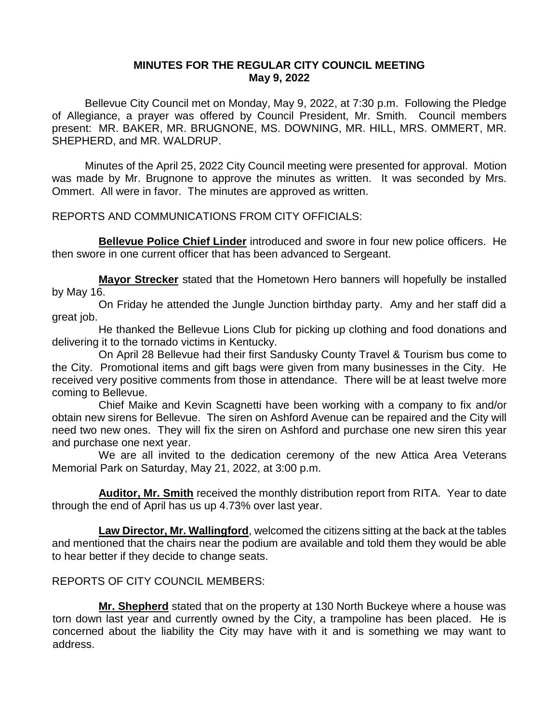## **MINUTES FOR THE REGULAR CITY COUNCIL MEETING May 9, 2022**

Bellevue City Council met on Monday, May 9, 2022, at 7:30 p.m. Following the Pledge of Allegiance, a prayer was offered by Council President, Mr. Smith. Council members present: MR. BAKER, MR. BRUGNONE, MS. DOWNING, MR. HILL, MRS. OMMERT, MR. SHEPHERD, and MR. WALDRUP.

Minutes of the April 25, 2022 City Council meeting were presented for approval. Motion was made by Mr. Brugnone to approve the minutes as written. It was seconded by Mrs. Ommert. All were in favor. The minutes are approved as written.

REPORTS AND COMMUNICATIONS FROM CITY OFFICIALS:

**Bellevue Police Chief Linder** introduced and swore in four new police officers. He then swore in one current officer that has been advanced to Sergeant.

**Mayor Strecker** stated that the Hometown Hero banners will hopefully be installed by May 16.

On Friday he attended the Jungle Junction birthday party. Amy and her staff did a great job.

He thanked the Bellevue Lions Club for picking up clothing and food donations and delivering it to the tornado victims in Kentucky.

On April 28 Bellevue had their first Sandusky County Travel & Tourism bus come to the City. Promotional items and gift bags were given from many businesses in the City. He received very positive comments from those in attendance. There will be at least twelve more coming to Bellevue.

Chief Maike and Kevin Scagnetti have been working with a company to fix and/or obtain new sirens for Bellevue. The siren on Ashford Avenue can be repaired and the City will need two new ones. They will fix the siren on Ashford and purchase one new siren this year and purchase one next year.

We are all invited to the dedication ceremony of the new Attica Area Veterans Memorial Park on Saturday, May 21, 2022, at 3:00 p.m.

**Auditor, Mr. Smith** received the monthly distribution report from RITA. Year to date through the end of April has us up 4.73% over last year.

**Law Director, Mr. Wallingford**, welcomed the citizens sitting at the back at the tables and mentioned that the chairs near the podium are available and told them they would be able to hear better if they decide to change seats.

## REPORTS OF CITY COUNCIL MEMBERS:

**Mr. Shepherd** stated that on the property at 130 North Buckeye where a house was torn down last year and currently owned by the City, a trampoline has been placed. He is concerned about the liability the City may have with it and is something we may want to address.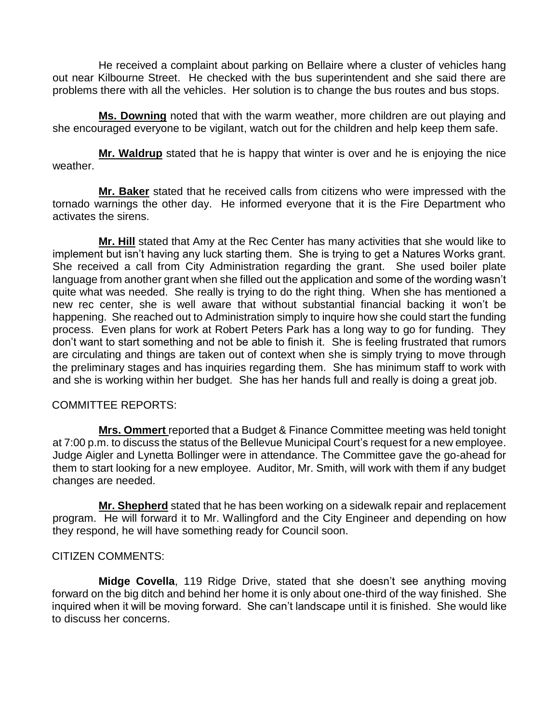He received a complaint about parking on Bellaire where a cluster of vehicles hang out near Kilbourne Street. He checked with the bus superintendent and she said there are problems there with all the vehicles. Her solution is to change the bus routes and bus stops.

**Ms. Downing** noted that with the warm weather, more children are out playing and she encouraged everyone to be vigilant, watch out for the children and help keep them safe.

**Mr. Waldrup** stated that he is happy that winter is over and he is enjoying the nice weather.

**Mr. Baker** stated that he received calls from citizens who were impressed with the tornado warnings the other day. He informed everyone that it is the Fire Department who activates the sirens.

**Mr. Hill** stated that Amy at the Rec Center has many activities that she would like to implement but isn't having any luck starting them. She is trying to get a Natures Works grant. She received a call from City Administration regarding the grant. She used boiler plate language from another grant when she filled out the application and some of the wording wasn't quite what was needed. She really is trying to do the right thing. When she has mentioned a new rec center, she is well aware that without substantial financial backing it won't be happening. She reached out to Administration simply to inquire how she could start the funding process. Even plans for work at Robert Peters Park has a long way to go for funding. They don't want to start something and not be able to finish it. She is feeling frustrated that rumors are circulating and things are taken out of context when she is simply trying to move through the preliminary stages and has inquiries regarding them. She has minimum staff to work with and she is working within her budget. She has her hands full and really is doing a great job.

## COMMITTEE REPORTS:

**Mrs. Ommert** reported that a Budget & Finance Committee meeting was held tonight at 7:00 p.m. to discuss the status of the Bellevue Municipal Court's request for a new employee. Judge Aigler and Lynetta Bollinger were in attendance. The Committee gave the go-ahead for them to start looking for a new employee. Auditor, Mr. Smith, will work with them if any budget changes are needed.

**Mr. Shepherd** stated that he has been working on a sidewalk repair and replacement program. He will forward it to Mr. Wallingford and the City Engineer and depending on how they respond, he will have something ready for Council soon.

# CITIZEN COMMENTS:

**Midge Covella**, 119 Ridge Drive, stated that she doesn't see anything moving forward on the big ditch and behind her home it is only about one-third of the way finished. She inquired when it will be moving forward. She can't landscape until it is finished. She would like to discuss her concerns.